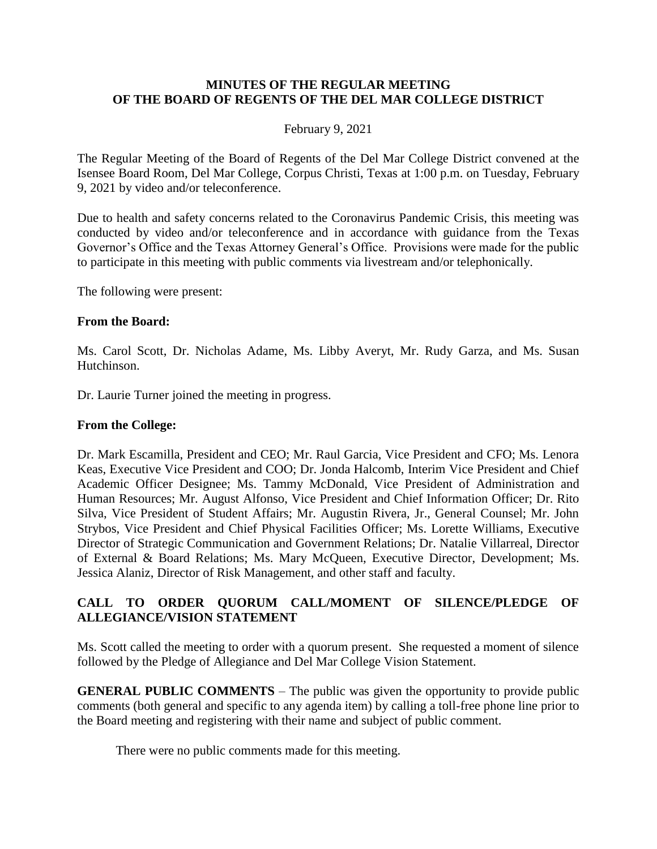#### **MINUTES OF THE REGULAR MEETING OF THE BOARD OF REGENTS OF THE DEL MAR COLLEGE DISTRICT**

#### February 9, 2021

The Regular Meeting of the Board of Regents of the Del Mar College District convened at the Isensee Board Room, Del Mar College, Corpus Christi, Texas at 1:00 p.m. on Tuesday, February 9, 2021 by video and/or teleconference.

Due to health and safety concerns related to the Coronavirus Pandemic Crisis, this meeting was conducted by video and/or teleconference and in accordance with guidance from the Texas Governor's Office and the Texas Attorney General's Office. Provisions were made for the public to participate in this meeting with public comments via livestream and/or telephonically.

The following were present:

#### **From the Board:**

Ms. Carol Scott, Dr. Nicholas Adame, Ms. Libby Averyt, Mr. Rudy Garza, and Ms. Susan Hutchinson.

Dr. Laurie Turner joined the meeting in progress.

#### **From the College:**

Dr. Mark Escamilla, President and CEO; Mr. Raul Garcia, Vice President and CFO; Ms. Lenora Keas, Executive Vice President and COO; Dr. Jonda Halcomb, Interim Vice President and Chief Academic Officer Designee; Ms. Tammy McDonald, Vice President of Administration and Human Resources; Mr. August Alfonso, Vice President and Chief Information Officer; Dr. Rito Silva, Vice President of Student Affairs; Mr. Augustin Rivera, Jr., General Counsel; Mr. John Strybos, Vice President and Chief Physical Facilities Officer; Ms. Lorette Williams, Executive Director of Strategic Communication and Government Relations; Dr. Natalie Villarreal, Director of External & Board Relations; Ms. Mary McQueen, Executive Director, Development; Ms. Jessica Alaniz, Director of Risk Management, and other staff and faculty.

## **CALL TO ORDER QUORUM CALL/MOMENT OF SILENCE/PLEDGE OF ALLEGIANCE/VISION STATEMENT**

Ms. Scott called the meeting to order with a quorum present. She requested a moment of silence followed by the Pledge of Allegiance and Del Mar College Vision Statement.

**GENERAL PUBLIC COMMENTS** – The public was given the opportunity to provide public comments (both general and specific to any agenda item) by calling a toll-free phone line prior to the Board meeting and registering with their name and subject of public comment.

There were no public comments made for this meeting.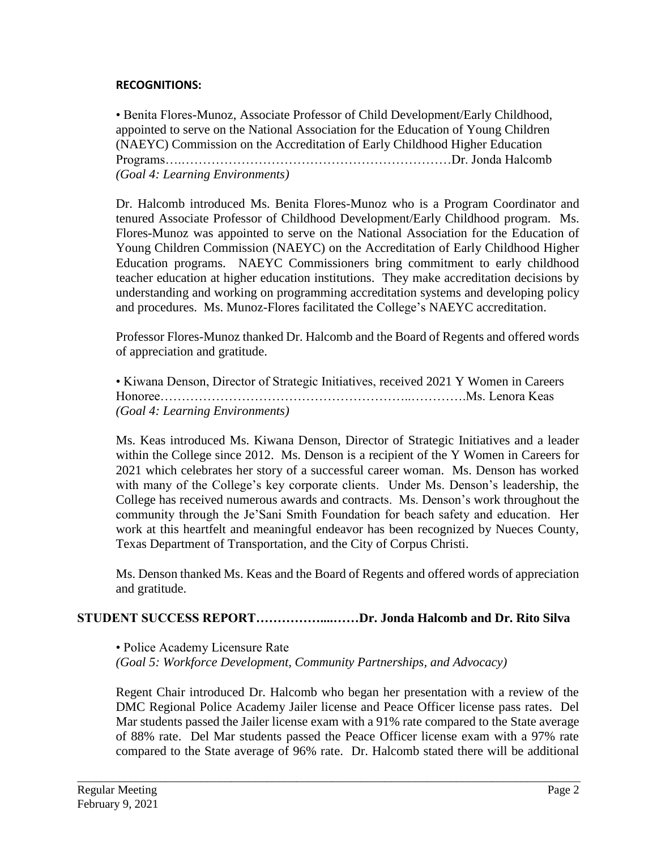## **RECOGNITIONS:**

• Benita Flores-Munoz, Associate Professor of Child Development/Early Childhood, appointed to serve on the National Association for the Education of Young Children (NAEYC) Commission on the Accreditation of Early Childhood Higher Education Programs….………………………………………………………Dr. Jonda Halcomb *(Goal 4: Learning Environments)*

Dr. Halcomb introduced Ms. Benita Flores-Munoz who is a Program Coordinator and tenured Associate Professor of Childhood Development/Early Childhood program. Ms. Flores-Munoz was appointed to serve on the National Association for the Education of Young Children Commission (NAEYC) on the Accreditation of Early Childhood Higher Education programs. NAEYC Commissioners bring commitment to early childhood teacher education at higher education institutions. They make accreditation decisions by understanding and working on programming accreditation systems and developing policy and procedures. Ms. Munoz-Flores facilitated the College's NAEYC accreditation.

Professor Flores-Munoz thanked Dr. Halcomb and the Board of Regents and offered words of appreciation and gratitude.

• Kiwana Denson, Director of Strategic Initiatives, received 2021 Y Women in Careers Honoree…………………………………………………..………….Ms. Lenora Keas *(Goal 4: Learning Environments)*

Ms. Keas introduced Ms. Kiwana Denson, Director of Strategic Initiatives and a leader within the College since 2012. Ms. Denson is a recipient of the Y Women in Careers for 2021 which celebrates her story of a successful career woman. Ms. Denson has worked with many of the College's key corporate clients. Under Ms. Denson's leadership, the College has received numerous awards and contracts. Ms. Denson's work throughout the community through the Je'Sani Smith Foundation for beach safety and education. Her work at this heartfelt and meaningful endeavor has been recognized by Nueces County, Texas Department of Transportation, and the City of Corpus Christi.

Ms. Denson thanked Ms. Keas and the Board of Regents and offered words of appreciation and gratitude.

## **STUDENT SUCCESS REPORT……………....……Dr. Jonda Halcomb and Dr. Rito Silva**

• Police Academy Licensure Rate

*(Goal 5: Workforce Development, Community Partnerships, and Advocacy)*

Regent Chair introduced Dr. Halcomb who began her presentation with a review of the DMC Regional Police Academy Jailer license and Peace Officer license pass rates. Del Mar students passed the Jailer license exam with a 91% rate compared to the State average of 88% rate. Del Mar students passed the Peace Officer license exam with a 97% rate compared to the State average of 96% rate. Dr. Halcomb stated there will be additional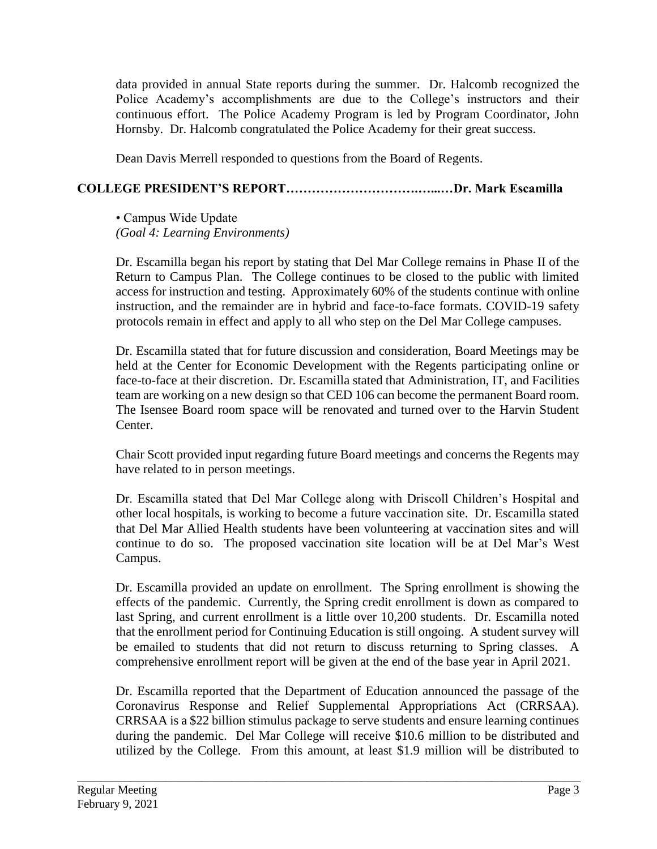data provided in annual State reports during the summer. Dr. Halcomb recognized the Police Academy's accomplishments are due to the College's instructors and their continuous effort. The Police Academy Program is led by Program Coordinator, John Hornsby. Dr. Halcomb congratulated the Police Academy for their great success.

Dean Davis Merrell responded to questions from the Board of Regents.

# **COLLEGE PRESIDENT'S REPORT………………………….…...…Dr. Mark Escamilla**

• Campus Wide Update *(Goal 4: Learning Environments)*

Dr. Escamilla began his report by stating that Del Mar College remains in Phase II of the Return to Campus Plan. The College continues to be closed to the public with limited access for instruction and testing. Approximately 60% of the students continue with online instruction, and the remainder are in hybrid and face-to-face formats. COVID-19 safety protocols remain in effect and apply to all who step on the Del Mar College campuses.

Dr. Escamilla stated that for future discussion and consideration, Board Meetings may be held at the Center for Economic Development with the Regents participating online or face-to-face at their discretion. Dr. Escamilla stated that Administration, IT, and Facilities team are working on a new design so that CED 106 can become the permanent Board room. The Isensee Board room space will be renovated and turned over to the Harvin Student Center.

Chair Scott provided input regarding future Board meetings and concerns the Regents may have related to in person meetings.

Dr. Escamilla stated that Del Mar College along with Driscoll Children's Hospital and other local hospitals, is working to become a future vaccination site. Dr. Escamilla stated that Del Mar Allied Health students have been volunteering at vaccination sites and will continue to do so. The proposed vaccination site location will be at Del Mar's West Campus.

Dr. Escamilla provided an update on enrollment. The Spring enrollment is showing the effects of the pandemic. Currently, the Spring credit enrollment is down as compared to last Spring, and current enrollment is a little over 10,200 students. Dr. Escamilla noted that the enrollment period for Continuing Education is still ongoing. A student survey will be emailed to students that did not return to discuss returning to Spring classes. A comprehensive enrollment report will be given at the end of the base year in April 2021.

Dr. Escamilla reported that the Department of Education announced the passage of the Coronavirus Response and Relief Supplemental Appropriations Act (CRRSAA). CRRSAA is a \$22 billion stimulus package to serve students and ensure learning continues during the pandemic. Del Mar College will receive \$10.6 million to be distributed and utilized by the College. From this amount, at least \$1.9 million will be distributed to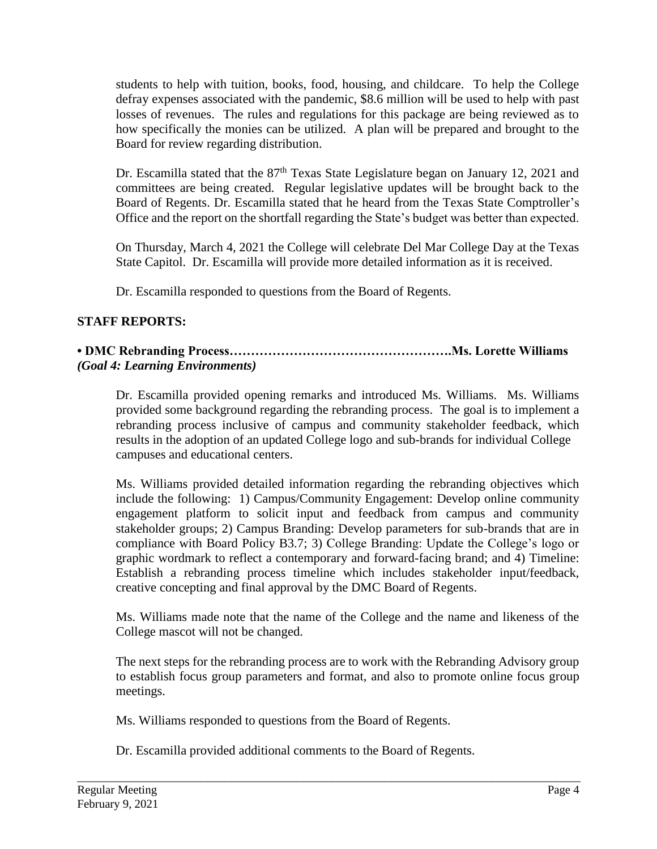students to help with tuition, books, food, housing, and childcare. To help the College defray expenses associated with the pandemic, \$8.6 million will be used to help with past losses of revenues. The rules and regulations for this package are being reviewed as to how specifically the monies can be utilized. A plan will be prepared and brought to the Board for review regarding distribution.

Dr. Escamilla stated that the  $87<sup>th</sup>$  Texas State Legislature began on January 12, 2021 and committees are being created. Regular legislative updates will be brought back to the Board of Regents. Dr. Escamilla stated that he heard from the Texas State Comptroller's Office and the report on the shortfall regarding the State's budget was better than expected.

On Thursday, March 4, 2021 the College will celebrate Del Mar College Day at the Texas State Capitol. Dr. Escamilla will provide more detailed information as it is received.

Dr. Escamilla responded to questions from the Board of Regents.

# **STAFF REPORTS:**

## **• DMC Rebranding Process…………………………………………….Ms. Lorette Williams** *(Goal 4: Learning Environments)*

Dr. Escamilla provided opening remarks and introduced Ms. Williams. Ms. Williams provided some background regarding the rebranding process. The goal is to implement a rebranding process inclusive of campus and community stakeholder feedback, which results in the adoption of an updated College logo and sub-brands for individual College campuses and educational centers.

Ms. Williams provided detailed information regarding the rebranding objectives which include the following: 1) Campus/Community Engagement: Develop online community engagement platform to solicit input and feedback from campus and community stakeholder groups; 2) Campus Branding: Develop parameters for sub-brands that are in compliance with Board Policy B3.7; 3) College Branding: Update the College's logo or graphic wordmark to reflect a contemporary and forward-facing brand; and 4) Timeline: Establish a rebranding process timeline which includes stakeholder input/feedback, creative concepting and final approval by the DMC Board of Regents.

Ms. Williams made note that the name of the College and the name and likeness of the College mascot will not be changed.

The next steps for the rebranding process are to work with the Rebranding Advisory group to establish focus group parameters and format, and also to promote online focus group meetings.

Ms. Williams responded to questions from the Board of Regents.

Dr. Escamilla provided additional comments to the Board of Regents.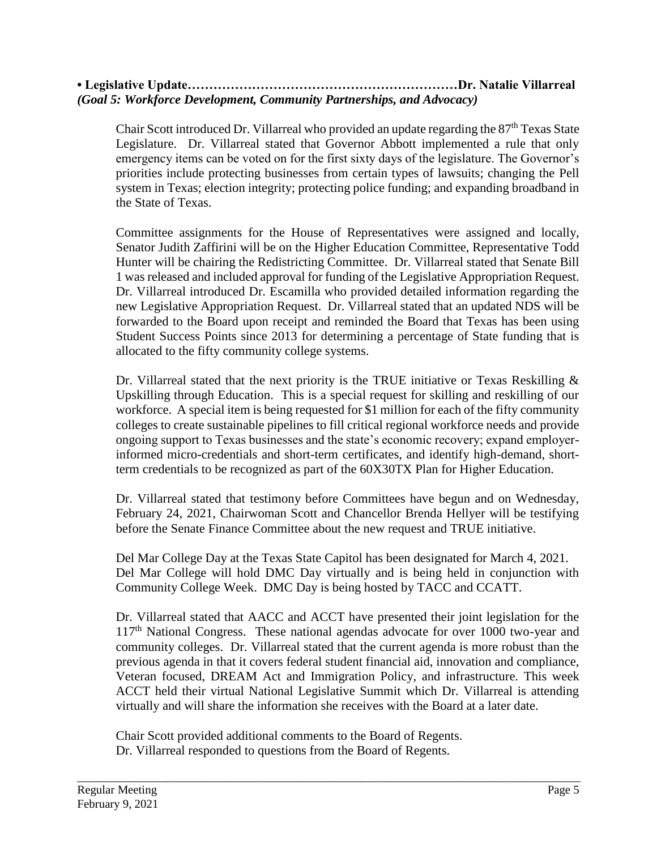## **• Legislative Update………………………………………………………Dr. Natalie Villarreal** *(Goal 5: Workforce Development, Community Partnerships, and Advocacy)*

Chair Scott introduced Dr. Villarreal who provided an update regarding the  $87<sup>th</sup>$  Texas State Legislature. Dr. Villarreal stated that Governor Abbott implemented a rule that only emergency items can be voted on for the first sixty days of the legislature. The Governor's priorities include protecting businesses from certain types of lawsuits; changing the Pell system in Texas; election integrity; protecting police funding; and expanding broadband in the State of Texas.

Committee assignments for the House of Representatives were assigned and locally, Senator Judith Zaffirini will be on the Higher Education Committee, Representative Todd Hunter will be chairing the Redistricting Committee. Dr. Villarreal stated that Senate Bill 1 was released and included approval for funding of the Legislative Appropriation Request. Dr. Villarreal introduced Dr. Escamilla who provided detailed information regarding the new Legislative Appropriation Request. Dr. Villarreal stated that an updated NDS will be forwarded to the Board upon receipt and reminded the Board that Texas has been using Student Success Points since 2013 for determining a percentage of State funding that is allocated to the fifty community college systems.

Dr. Villarreal stated that the next priority is the TRUE initiative or Texas Reskilling  $\&$ Upskilling through Education. This is a special request for skilling and reskilling of our workforce. A special item is being requested for \$1 million for each of the fifty community colleges to create sustainable pipelines to fill critical regional workforce needs and provide ongoing support to Texas businesses and the state's economic recovery; expand employerinformed micro-credentials and short-term certificates, and identify high-demand, shortterm credentials to be recognized as part of the 60X30TX Plan for Higher Education.

Dr. Villarreal stated that testimony before Committees have begun and on Wednesday, February 24, 2021, Chairwoman Scott and Chancellor Brenda Hellyer will be testifying before the Senate Finance Committee about the new request and TRUE initiative.

Del Mar College Day at the Texas State Capitol has been designated for March 4, 2021. Del Mar College will hold DMC Day virtually and is being held in conjunction with Community College Week. DMC Day is being hosted by TACC and CCATT.

Dr. Villarreal stated that AACC and ACCT have presented their joint legislation for the 117<sup>th</sup> National Congress. These national agendas advocate for over 1000 two-year and community colleges. Dr. Villarreal stated that the current agenda is more robust than the previous agenda in that it covers federal student financial aid, innovation and compliance, Veteran focused, DREAM Act and Immigration Policy, and infrastructure. This week ACCT held their virtual National Legislative Summit which Dr. Villarreal is attending virtually and will share the information she receives with the Board at a later date.

\_\_\_\_\_\_\_\_\_\_\_\_\_\_\_\_\_\_\_\_\_\_\_\_\_\_\_\_\_\_\_\_\_\_\_\_\_\_\_\_\_\_\_\_\_\_\_\_\_\_\_\_\_\_\_\_\_\_\_\_\_\_\_\_\_\_\_\_\_\_\_\_\_\_\_\_\_\_\_\_\_\_\_\_\_

Chair Scott provided additional comments to the Board of Regents. Dr. Villarreal responded to questions from the Board of Regents.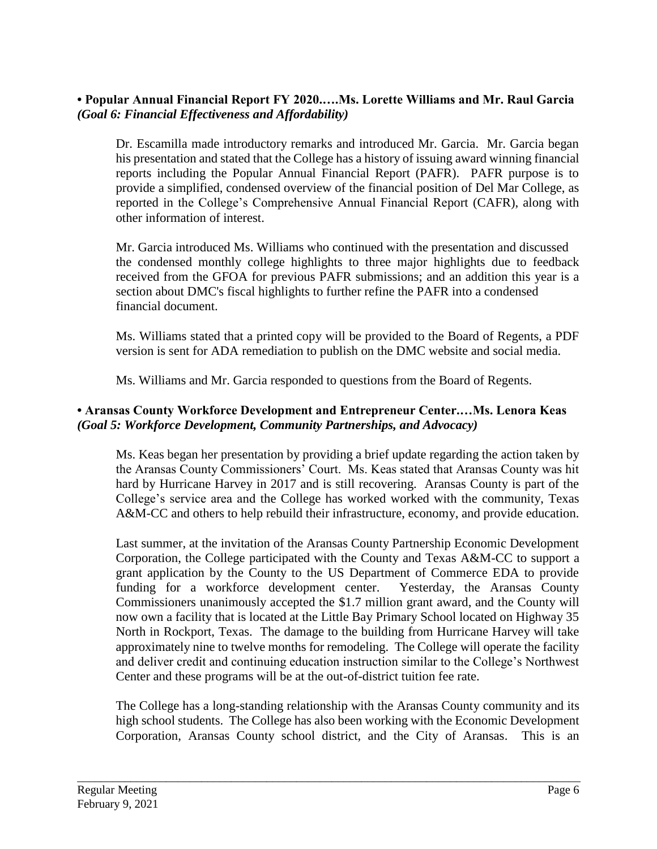# **• Popular Annual Financial Report FY 2020.….Ms. Lorette Williams and Mr. Raul Garcia** *(Goal 6: Financial Effectiveness and Affordability)*

Dr. Escamilla made introductory remarks and introduced Mr. Garcia. Mr. Garcia began his presentation and stated that the College has a history of issuing award winning financial reports including the Popular Annual Financial Report (PAFR). PAFR purpose is to provide a simplified, condensed overview of the financial position of Del Mar College, as reported in the College's Comprehensive Annual Financial Report (CAFR), along with other information of interest.

Mr. Garcia introduced Ms. Williams who continued with the presentation and discussed the condensed monthly college highlights to three major highlights due to feedback received from the GFOA for previous PAFR submissions; and an addition this year is a section about DMC's fiscal highlights to further refine the PAFR into a condensed financial document.

Ms. Williams stated that a printed copy will be provided to the Board of Regents, a PDF version is sent for ADA remediation to publish on the DMC website and social media.

Ms. Williams and Mr. Garcia responded to questions from the Board of Regents.

# **• Aransas County Workforce Development and Entrepreneur Center.…Ms. Lenora Keas** *(Goal 5: Workforce Development, Community Partnerships, and Advocacy)*

Ms. Keas began her presentation by providing a brief update regarding the action taken by the Aransas County Commissioners' Court. Ms. Keas stated that Aransas County was hit hard by Hurricane Harvey in 2017 and is still recovering. Aransas County is part of the College's service area and the College has worked worked with the community, Texas A&M-CC and others to help rebuild their infrastructure, economy, and provide education.

Last summer, at the invitation of the Aransas County Partnership Economic Development Corporation, the College participated with the County and Texas A&M-CC to support a grant application by the County to the US Department of Commerce EDA to provide funding for a workforce development center. Yesterday, the Aransas County Commissioners unanimously accepted the \$1.7 million grant award, and the County will now own a facility that is located at the Little Bay Primary School located on Highway 35 North in Rockport, Texas. The damage to the building from Hurricane Harvey will take approximately nine to twelve months for remodeling. The College will operate the facility and deliver credit and continuing education instruction similar to the College's Northwest Center and these programs will be at the out-of-district tuition fee rate.

The College has a long-standing relationship with the Aransas County community and its high school students. The College has also been working with the Economic Development Corporation, Aransas County school district, and the City of Aransas. This is an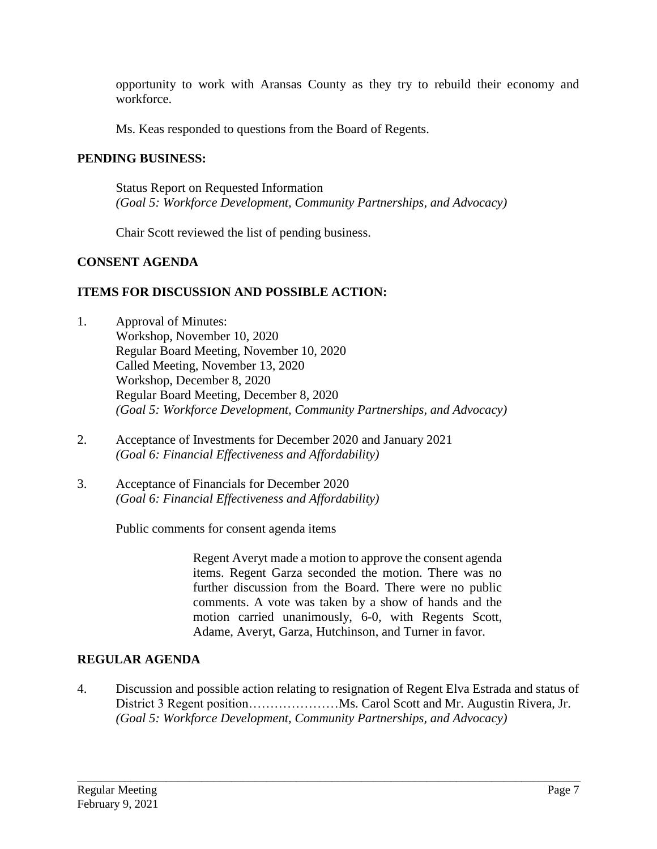opportunity to work with Aransas County as they try to rebuild their economy and workforce.

Ms. Keas responded to questions from the Board of Regents.

#### **PENDING BUSINESS:**

Status Report on Requested Information *(Goal 5: Workforce Development, Community Partnerships, and Advocacy)*

Chair Scott reviewed the list of pending business.

## **CONSENT AGENDA**

## **ITEMS FOR DISCUSSION AND POSSIBLE ACTION:**

- 1. Approval of Minutes: Workshop, November 10, 2020 Regular Board Meeting, November 10, 2020 Called Meeting, November 13, 2020 Workshop, December 8, 2020 Regular Board Meeting, December 8, 2020 *(Goal 5: Workforce Development, Community Partnerships, and Advocacy)*
- 2. Acceptance of Investments for December 2020 and January 2021 *(Goal 6: Financial Effectiveness and Affordability)*
- 3. Acceptance of Financials for December 2020 *(Goal 6: Financial Effectiveness and Affordability)*

Public comments for consent agenda items

Regent Averyt made a motion to approve the consent agenda items. Regent Garza seconded the motion. There was no further discussion from the Board. There were no public comments. A vote was taken by a show of hands and the motion carried unanimously, 6-0, with Regents Scott, Adame, Averyt, Garza, Hutchinson, and Turner in favor.

## **REGULAR AGENDA**

4. Discussion and possible action relating to resignation of Regent Elva Estrada and status of District 3 Regent position…………………Ms. Carol Scott and Mr. Augustin Rivera, Jr. *(Goal 5: Workforce Development, Community Partnerships, and Advocacy)*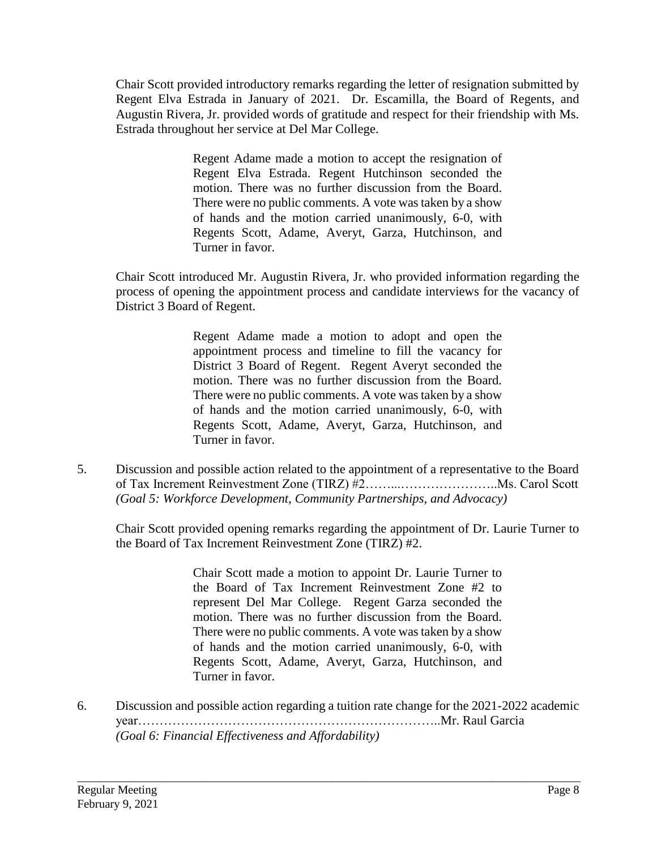Chair Scott provided introductory remarks regarding the letter of resignation submitted by Regent Elva Estrada in January of 2021. Dr. Escamilla, the Board of Regents, and Augustin Rivera, Jr. provided words of gratitude and respect for their friendship with Ms. Estrada throughout her service at Del Mar College.

> Regent Adame made a motion to accept the resignation of Regent Elva Estrada. Regent Hutchinson seconded the motion. There was no further discussion from the Board. There were no public comments. A vote was taken by a show of hands and the motion carried unanimously, 6-0, with Regents Scott, Adame, Averyt, Garza, Hutchinson, and Turner in favor.

Chair Scott introduced Mr. Augustin Rivera, Jr. who provided information regarding the process of opening the appointment process and candidate interviews for the vacancy of District 3 Board of Regent.

> Regent Adame made a motion to adopt and open the appointment process and timeline to fill the vacancy for District 3 Board of Regent. Regent Averyt seconded the motion. There was no further discussion from the Board. There were no public comments. A vote was taken by a show of hands and the motion carried unanimously, 6-0, with Regents Scott, Adame, Averyt, Garza, Hutchinson, and Turner in favor.

5. Discussion and possible action related to the appointment of a representative to the Board of Tax Increment Reinvestment Zone (TIRZ) #2……...…………………..Ms. Carol Scott *(Goal 5: Workforce Development, Community Partnerships, and Advocacy)*

Chair Scott provided opening remarks regarding the appointment of Dr. Laurie Turner to the Board of Tax Increment Reinvestment Zone (TIRZ) #2.

> Chair Scott made a motion to appoint Dr. Laurie Turner to the Board of Tax Increment Reinvestment Zone #2 to represent Del Mar College. Regent Garza seconded the motion. There was no further discussion from the Board. There were no public comments. A vote was taken by a show of hands and the motion carried unanimously, 6-0, with Regents Scott, Adame, Averyt, Garza, Hutchinson, and Turner in favor.

6. Discussion and possible action regarding a tuition rate change for the 2021-2022 academic year……………………………………………………………..Mr. Raul Garcia *(Goal 6: Financial Effectiveness and Affordability)*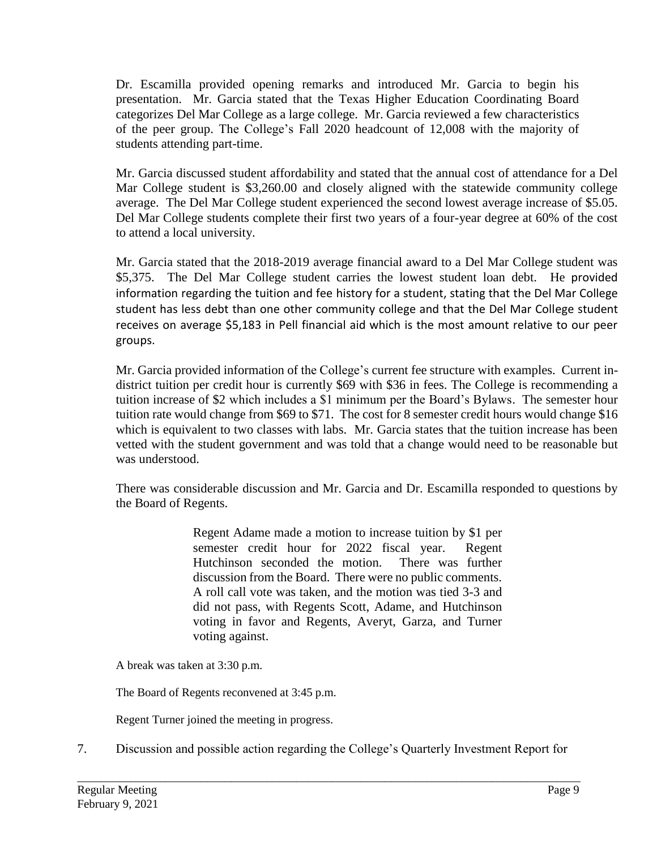Dr. Escamilla provided opening remarks and introduced Mr. Garcia to begin his presentation. Mr. Garcia stated that the Texas Higher Education Coordinating Board categorizes Del Mar College as a large college. Mr. Garcia reviewed a few characteristics of the peer group. The College's Fall 2020 headcount of 12,008 with the majority of students attending part-time.

Mr. Garcia discussed student affordability and stated that the annual cost of attendance for a Del Mar College student is \$3,260.00 and closely aligned with the statewide community college average. The Del Mar College student experienced the second lowest average increase of \$5.05. Del Mar College students complete their first two years of a four-year degree at 60% of the cost to attend a local university.

Mr. Garcia stated that the 2018-2019 average financial award to a Del Mar College student was \$5,375. The Del Mar College student carries the lowest student loan debt. He provided information regarding the tuition and fee history for a student, stating that the Del Mar College student has less debt than one other community college and that the Del Mar College student receives on average \$5,183 in Pell financial aid which is the most amount relative to our peer groups.

Mr. Garcia provided information of the College's current fee structure with examples. Current indistrict tuition per credit hour is currently \$69 with \$36 in fees. The College is recommending a tuition increase of \$2 which includes a \$1 minimum per the Board's Bylaws. The semester hour tuition rate would change from \$69 to \$71. The cost for 8 semester credit hours would change \$16 which is equivalent to two classes with labs. Mr. Garcia states that the tuition increase has been vetted with the student government and was told that a change would need to be reasonable but was understood.

There was considerable discussion and Mr. Garcia and Dr. Escamilla responded to questions by the Board of Regents.

> Regent Adame made a motion to increase tuition by \$1 per semester credit hour for 2022 fiscal year. Regent Hutchinson seconded the motion. There was further discussion from the Board. There were no public comments. A roll call vote was taken, and the motion was tied 3-3 and did not pass, with Regents Scott, Adame, and Hutchinson voting in favor and Regents, Averyt, Garza, and Turner voting against.

A break was taken at 3:30 p.m.

The Board of Regents reconvened at 3:45 p.m.

Regent Turner joined the meeting in progress.

7. Discussion and possible action regarding the College's Quarterly Investment Report for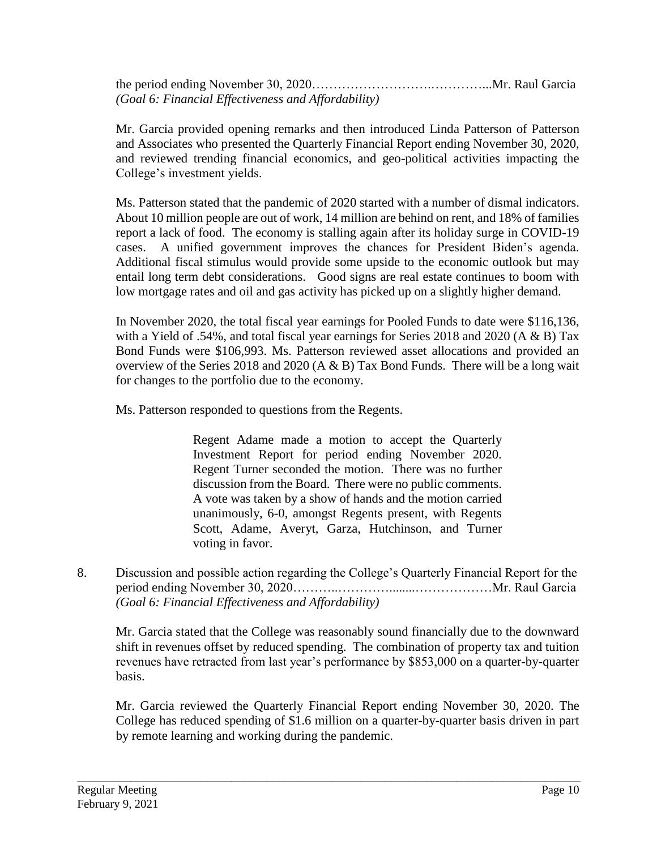the period ending November 30, 2020……………………….…………...Mr. Raul Garcia *(Goal 6: Financial Effectiveness and Affordability)*

Mr. Garcia provided opening remarks and then introduced Linda Patterson of Patterson and Associates who presented the Quarterly Financial Report ending November 30, 2020, and reviewed trending financial economics, and geo-political activities impacting the College's investment yields.

Ms. Patterson stated that the pandemic of 2020 started with a number of dismal indicators. About 10 million people are out of work, 14 million are behind on rent, and 18% of families report a lack of food. The economy is stalling again after its holiday surge in COVID-19 cases. A unified government improves the chances for President Biden's agenda. Additional fiscal stimulus would provide some upside to the economic outlook but may entail long term debt considerations. Good signs are real estate continues to boom with low mortgage rates and oil and gas activity has picked up on a slightly higher demand.

In November 2020, the total fiscal year earnings for Pooled Funds to date were \$116,136, with a Yield of .54%, and total fiscal year earnings for Series 2018 and 2020 (A & B) Tax Bond Funds were \$106,993. Ms. Patterson reviewed asset allocations and provided an overview of the Series 2018 and 2020 (A & B) Tax Bond Funds. There will be a long wait for changes to the portfolio due to the economy.

Ms. Patterson responded to questions from the Regents.

Regent Adame made a motion to accept the Quarterly Investment Report for period ending November 2020. Regent Turner seconded the motion. There was no further discussion from the Board. There were no public comments. A vote was taken by a show of hands and the motion carried unanimously, 6-0, amongst Regents present, with Regents Scott, Adame, Averyt, Garza, Hutchinson, and Turner voting in favor.

8. Discussion and possible action regarding the College's Quarterly Financial Report for the period ending November 30, 2020………..…………........………………Mr. Raul Garcia *(Goal 6: Financial Effectiveness and Affordability)*

Mr. Garcia stated that the College was reasonably sound financially due to the downward shift in revenues offset by reduced spending. The combination of property tax and tuition revenues have retracted from last year's performance by \$853,000 on a quarter-by-quarter basis.

Mr. Garcia reviewed the Quarterly Financial Report ending November 30, 2020. The College has reduced spending of \$1.6 million on a quarter-by-quarter basis driven in part by remote learning and working during the pandemic.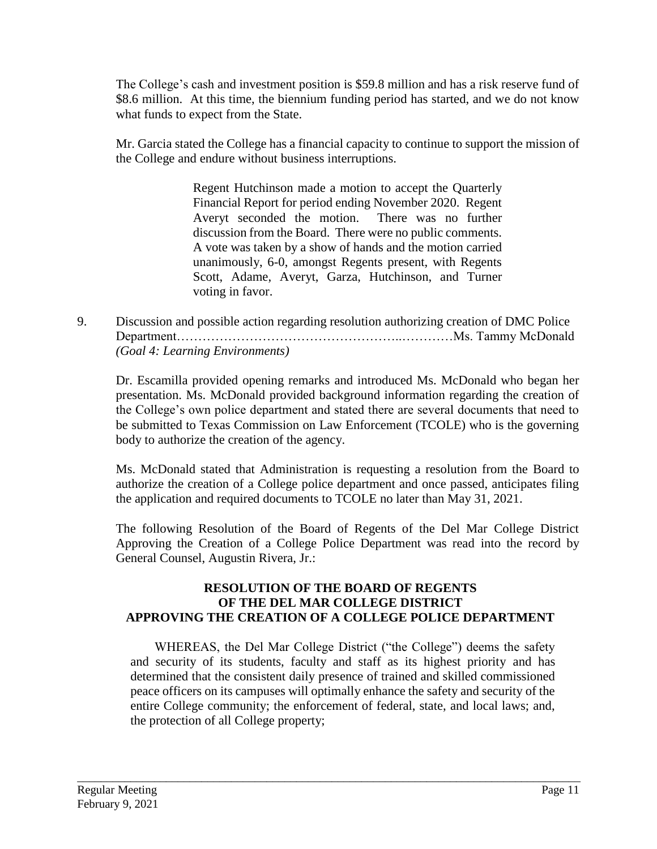The College's cash and investment position is \$59.8 million and has a risk reserve fund of \$8.6 million. At this time, the biennium funding period has started, and we do not know what funds to expect from the State.

Mr. Garcia stated the College has a financial capacity to continue to support the mission of the College and endure without business interruptions.

> Regent Hutchinson made a motion to accept the Quarterly Financial Report for period ending November 2020. Regent Averyt seconded the motion. There was no further discussion from the Board. There were no public comments. A vote was taken by a show of hands and the motion carried unanimously, 6-0, amongst Regents present, with Regents Scott, Adame, Averyt, Garza, Hutchinson, and Turner voting in favor.

9. Discussion and possible action regarding resolution authorizing creation of DMC Police Department……………………………………………..…………Ms. Tammy McDonald *(Goal 4: Learning Environments)*

Dr. Escamilla provided opening remarks and introduced Ms. McDonald who began her presentation. Ms. McDonald provided background information regarding the creation of the College's own police department and stated there are several documents that need to be submitted to Texas Commission on Law Enforcement (TCOLE) who is the governing body to authorize the creation of the agency.

Ms. McDonald stated that Administration is requesting a resolution from the Board to authorize the creation of a College police department and once passed, anticipates filing the application and required documents to TCOLE no later than May 31, 2021.

The following Resolution of the Board of Regents of the Del Mar College District Approving the Creation of a College Police Department was read into the record by General Counsel, Augustin Rivera, Jr.:

# **RESOLUTION OF THE BOARD OF REGENTS OF THE DEL MAR COLLEGE DISTRICT APPROVING THE CREATION OF A COLLEGE POLICE DEPARTMENT**

WHEREAS, the Del Mar College District ("the College") deems the safety and security of its students, faculty and staff as its highest priority and has determined that the consistent daily presence of trained and skilled commissioned peace officers on its campuses will optimally enhance the safety and security of the entire College community; the enforcement of federal, state, and local laws; and, the protection of all College property;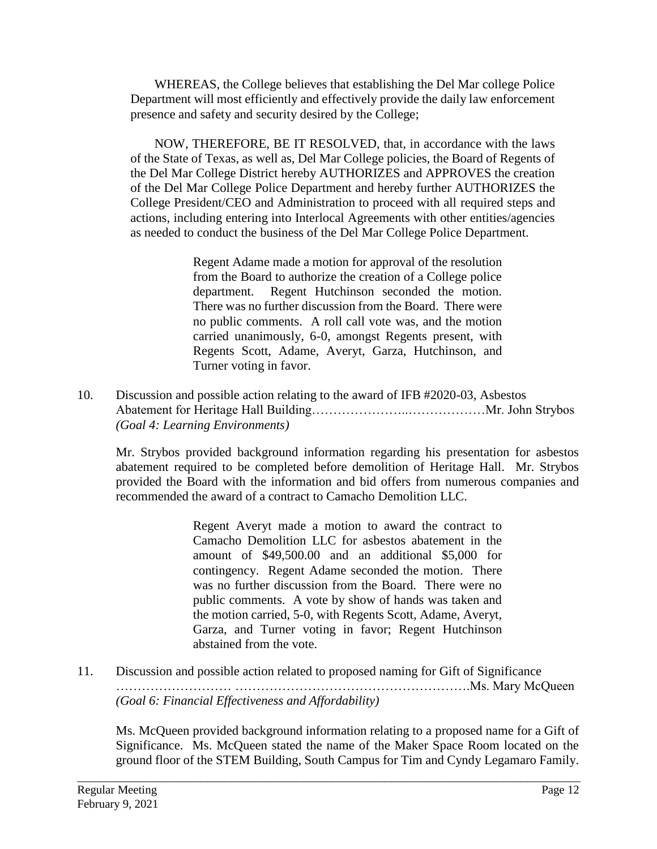WHEREAS, the College believes that establishing the Del Mar college Police Department will most efficiently and effectively provide the daily law enforcement presence and safety and security desired by the College;

NOW, THEREFORE, BE IT RESOLVED, that, in accordance with the laws of the State of Texas, as well as, Del Mar College policies, the Board of Regents of the Del Mar College District hereby AUTHORIZES and APPROVES the creation of the Del Mar College Police Department and hereby further AUTHORIZES the College President/CEO and Administration to proceed with all required steps and actions, including entering into Interlocal Agreements with other entities/agencies as needed to conduct the business of the Del Mar College Police Department.

> Regent Adame made a motion for approval of the resolution from the Board to authorize the creation of a College police department. Regent Hutchinson seconded the motion. There was no further discussion from the Board. There were no public comments. A roll call vote was, and the motion carried unanimously, 6-0, amongst Regents present, with Regents Scott, Adame, Averyt, Garza, Hutchinson, and Turner voting in favor.

10. Discussion and possible action relating to the award of IFB #2020-03, Asbestos Abatement for Heritage Hall Building…………………..………………Mr. John Strybos *(Goal 4: Learning Environments)*

Mr. Strybos provided background information regarding his presentation for asbestos abatement required to be completed before demolition of Heritage Hall. Mr. Strybos provided the Board with the information and bid offers from numerous companies and recommended the award of a contract to Camacho Demolition LLC.

> Regent Averyt made a motion to award the contract to Camacho Demolition LLC for asbestos abatement in the amount of \$49,500.00 and an additional \$5,000 for contingency. Regent Adame seconded the motion. There was no further discussion from the Board. There were no public comments. A vote by show of hands was taken and the motion carried, 5-0, with Regents Scott, Adame, Averyt, Garza, and Turner voting in favor; Regent Hutchinson abstained from the vote.

11. Discussion and possible action related to proposed naming for Gift of Significance ……………………… ……………………………………………….Ms. Mary McQueen *(Goal 6: Financial Effectiveness and Affordability)*

\_\_\_\_\_\_\_\_\_\_\_\_\_\_\_\_\_\_\_\_\_\_\_\_\_\_\_\_\_\_\_\_\_\_\_\_\_\_\_\_\_\_\_\_\_\_\_\_\_\_\_\_\_\_\_\_\_\_\_\_\_\_\_\_\_\_\_\_\_\_\_\_\_\_\_\_\_\_\_\_\_\_\_\_\_

Ms. McQueen provided background information relating to a proposed name for a Gift of Significance. Ms. McQueen stated the name of the Maker Space Room located on the ground floor of the STEM Building, South Campus for Tim and Cyndy Legamaro Family.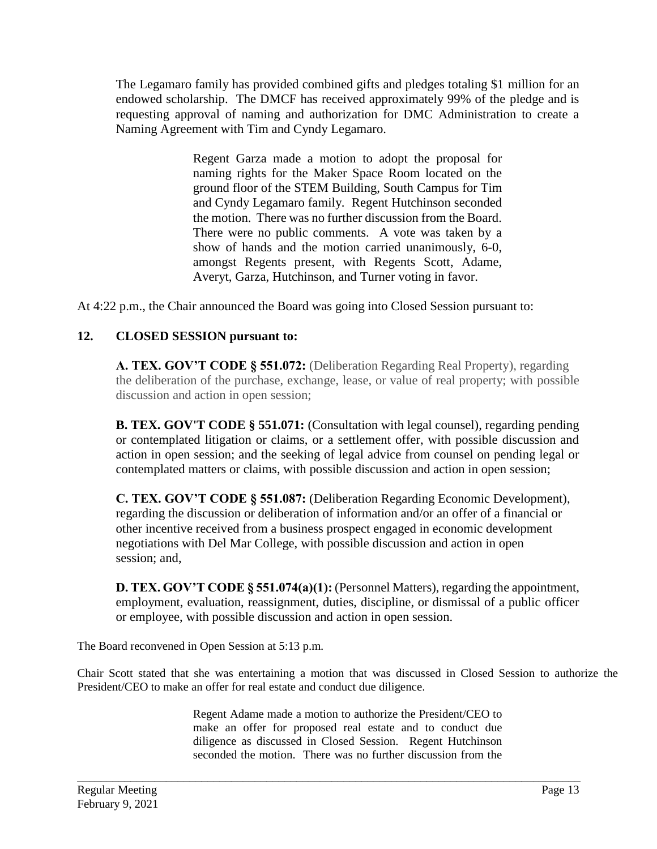The Legamaro family has provided combined gifts and pledges totaling \$1 million for an endowed scholarship. The DMCF has received approximately 99% of the pledge and is requesting approval of naming and authorization for DMC Administration to create a Naming Agreement with Tim and Cyndy Legamaro.

> Regent Garza made a motion to adopt the proposal for naming rights for the Maker Space Room located on the ground floor of the STEM Building, South Campus for Tim and Cyndy Legamaro family. Regent Hutchinson seconded the motion. There was no further discussion from the Board. There were no public comments. A vote was taken by a show of hands and the motion carried unanimously, 6-0, amongst Regents present, with Regents Scott, Adame, Averyt, Garza, Hutchinson, and Turner voting in favor.

At 4:22 p.m., the Chair announced the Board was going into Closed Session pursuant to:

# **12. CLOSED SESSION pursuant to:**

**A. TEX. GOV'T CODE § 551.072:** (Deliberation Regarding Real Property), regarding the deliberation of the purchase, exchange, lease, or value of real property; with possible discussion and action in open session;

**B. TEX. GOV'T CODE § 551.071:** (Consultation with legal counsel), regarding pending or contemplated litigation or claims, or a settlement offer, with possible discussion and action in open session; and the seeking of legal advice from counsel on pending legal or contemplated matters or claims, with possible discussion and action in open session;

**C. TEX. GOV'T CODE § 551.087:** (Deliberation Regarding Economic Development), regarding the discussion or deliberation of information and/or an offer of a financial or other incentive received from a business prospect engaged in economic development negotiations with Del Mar College, with possible discussion and action in open session; and,

**D. TEX. GOV'T CODE § 551.074(a)(1):** (Personnel Matters), regarding the appointment, employment, evaluation, reassignment, duties, discipline, or dismissal of a public officer or employee, with possible discussion and action in open session.

The Board reconvened in Open Session at 5:13 p.m.

Chair Scott stated that she was entertaining a motion that was discussed in Closed Session to authorize the President/CEO to make an offer for real estate and conduct due diligence.

> Regent Adame made a motion to authorize the President/CEO to make an offer for proposed real estate and to conduct due diligence as discussed in Closed Session. Regent Hutchinson seconded the motion. There was no further discussion from the